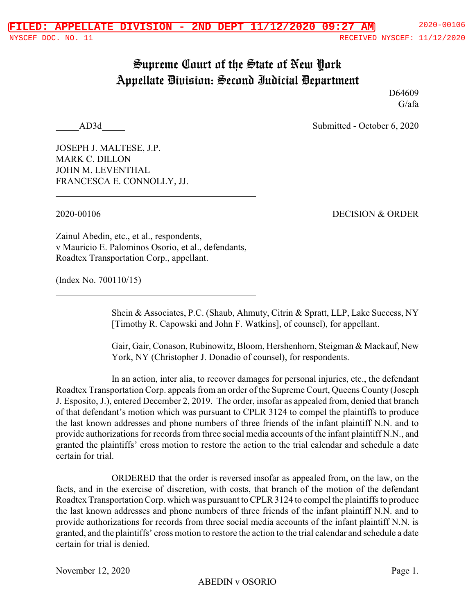## Supreme Court of the State of New York Appellate Division: Second Judicial Department

D64609 G/afa

AD3d Submitted - October 6, 2020

JOSEPH J. MALTESE, J.P. MARK C. DILLON JOHN M. LEVENTHAL FRANCESCA E. CONNOLLY, JJ.

2020-00106 DECISION & ORDER

Zainul Abedin, etc., et al., respondents, v Mauricio E. Palominos Osorio, et al., defendants, Roadtex Transportation Corp., appellant.

(Index No. 700110/15)

Shein & Associates, P.C. (Shaub, Ahmuty, Citrin & Spratt, LLP, Lake Success, NY [Timothy R. Capowski and John F. Watkins], of counsel), for appellant.

Gair, Gair, Conason, Rubinowitz, Bloom, Hershenhorn, Steigman & Mackauf, New York, NY (Christopher J. Donadio of counsel), for respondents.

In an action, inter alia, to recover damages for personal injuries, etc., the defendant Roadtex Transportation Corp. appeals from an order of the Supreme Court, Queens County (Joseph J. Esposito, J.), entered December 2, 2019. The order, insofar as appealed from, denied that branch of that defendant's motion which was pursuant to CPLR 3124 to compel the plaintiffs to produce the last known addresses and phone numbers of three friends of the infant plaintiff N.N. and to provide authorizations for records from three social media accounts of the infant plaintiff N.N., and granted the plaintiffs' cross motion to restore the action to the trial calendar and schedule a date certain for trial.

ORDERED that the order is reversed insofar as appealed from, on the law, on the facts, and in the exercise of discretion, with costs, that branch of the motion of the defendant Roadtex Transportation Corp. which was pursuant to CPLR 3124 to compel the plaintiffs to produce the last known addresses and phone numbers of three friends of the infant plaintiff N.N. and to provide authorizations for records from three social media accounts of the infant plaintiff N.N. is granted, and the plaintiffs' cross motion to restore the action to the trial calendar and schedule a date certain for trial is denied.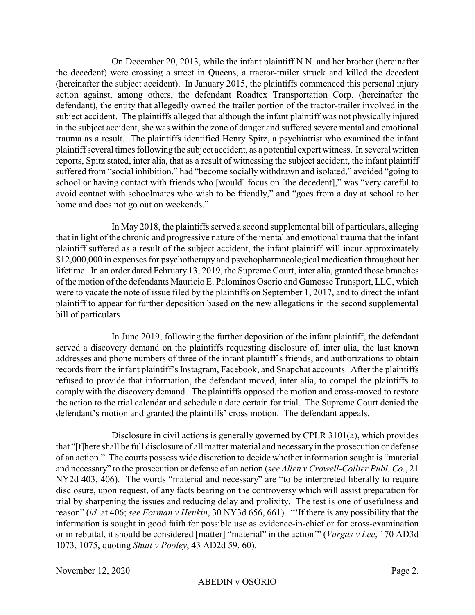On December 20, 2013, while the infant plaintiff N.N. and her brother (hereinafter the decedent) were crossing a street in Queens, a tractor-trailer struck and killed the decedent (hereinafter the subject accident). In January 2015, the plaintiffs commenced this personal injury action against, among others, the defendant Roadtex Transportation Corp. (hereinafter the defendant), the entity that allegedly owned the trailer portion of the tractor-trailer involved in the subject accident. The plaintiffs alleged that although the infant plaintiff was not physically injured in the subject accident, she was within the zone of danger and suffered severe mental and emotional trauma as a result. The plaintiffs identified Henry Spitz, a psychiatrist who examined the infant plaintiff several times following the subject accident, as a potential expert witness. In several written reports, Spitz stated, inter alia, that as a result of witnessing the subject accident, the infant plaintiff suffered from "social inhibition," had "become socially withdrawn and isolated," avoided "going to school or having contact with friends who [would] focus on [the decedent]," was "very careful to avoid contact with schoolmates who wish to be friendly," and "goes from a day at school to her home and does not go out on weekends."

In May 2018, the plaintiffs served a second supplemental bill of particulars, alleging that in light of the chronic and progressive nature of the mental and emotional trauma that the infant plaintiff suffered as a result of the subject accident, the infant plaintiff will incur approximately \$12,000,000 in expenses for psychotherapy and psychopharmacological medication throughout her lifetime. In an order dated February 13, 2019, the Supreme Court, inter alia, granted those branches of the motion of the defendants Mauricio E. Palominos Osorio and Gamosse Transport, LLC, which were to vacate the note of issue filed by the plaintiffs on September 1, 2017, and to direct the infant plaintiff to appear for further deposition based on the new allegations in the second supplemental bill of particulars.

In June 2019, following the further deposition of the infant plaintiff, the defendant served a discovery demand on the plaintiffs requesting disclosure of, inter alia, the last known addresses and phone numbers of three of the infant plaintiff's friends, and authorizations to obtain records from the infant plaintiff's Instagram, Facebook, and Snapchat accounts. After the plaintiffs refused to provide that information, the defendant moved, inter alia, to compel the plaintiffs to comply with the discovery demand. The plaintiffs opposed the motion and cross-moved to restore the action to the trial calendar and schedule a date certain for trial. The Supreme Court denied the defendant's motion and granted the plaintiffs' cross motion. The defendant appeals.

Disclosure in civil actions is generally governed by CPLR 3101(a), which provides that "[t]here shall be full disclosure of all matter material and necessaryin the prosecution or defense of an action." The courts possess wide discretion to decide whether information sought is "material and necessary" to the prosecution or defense of an action (*see Allen v Crowell-Collier Publ. Co.*, 21 NY2d 403, 406). The words "material and necessary" are "to be interpreted liberally to require disclosure, upon request, of any facts bearing on the controversy which will assist preparation for trial by sharpening the issues and reducing delay and prolixity. The test is one of usefulness and reason" (*id.* at 406; *see Forman v Henkin*, 30 NY3d 656, 661). "'If there is any possibility that the information is sought in good faith for possible use as evidence-in-chief or for cross-examination or in rebuttal, it should be considered [matter] "material" in the action'" (*Vargas v Lee*, 170 AD3d 1073, 1075, quoting *Shutt v Pooley*, 43 AD2d 59, 60).